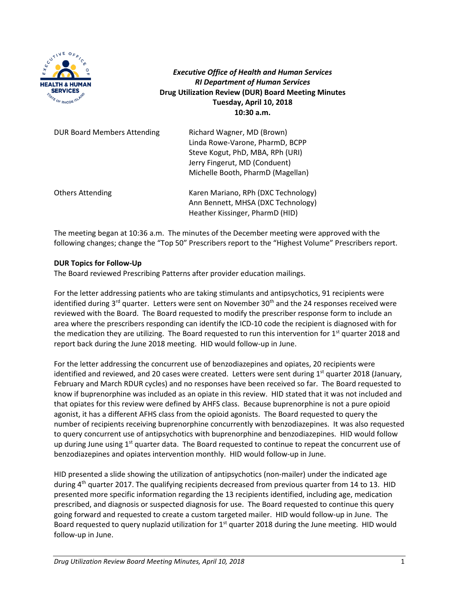

*Executive Office of Health and Human Services RI Department of Human Services* **Drug Utilization Review (DUR) Board Meeting Minutes Tuesday, April 10, 2018 10:30 a.m.**

| <b>DUR Board Members Attending</b> | Richard Wagner, MD (Brown)<br>Linda Rowe-Varone, PharmD, BCPP<br>Steve Kogut, PhD, MBA, RPh (URI)<br>Jerry Fingerut, MD (Conduent)<br>Michelle Booth, PharmD (Magellan) |
|------------------------------------|-------------------------------------------------------------------------------------------------------------------------------------------------------------------------|
| <b>Others Attending</b>            | Karen Mariano, RPh (DXC Technology)<br>Ann Bennett, MHSA (DXC Technology)<br>Heather Kissinger, PharmD (HID)                                                            |

The meeting began at 10:36 a.m. The minutes of the December meeting were approved with the following changes; change the "Top 50" Prescribers report to the "Highest Volume" Prescribers report.

#### **DUR Topics for Follow-Up**

The Board reviewed Prescribing Patterns after provider education mailings.

For the letter addressing patients who are taking stimulants and antipsychotics, 91 recipients were identified during  $3^{rd}$  quarter. Letters were sent on November  $30^{th}$  and the 24 responses received were reviewed with the Board. The Board requested to modify the prescriber response form to include an area where the prescribers responding can identify the ICD-10 code the recipient is diagnosed with for the medication they are utilizing. The Board requested to run this intervention for 1<sup>st</sup> quarter 2018 and report back during the June 2018 meeting. HID would follow-up in June.

For the letter addressing the concurrent use of benzodiazepines and opiates, 20 recipients were identified and reviewed, and 20 cases were created. Letters were sent during  $1<sup>st</sup>$  quarter 2018 (January, February and March RDUR cycles) and no responses have been received so far. The Board requested to know if buprenorphine was included as an opiate in this review. HID stated that it was not included and that opiates for this review were defined by AHFS class. Because buprenorphine is not a pure opioid agonist, it has a different AFHS class from the opioid agonists. The Board requested to query the number of recipients receiving buprenorphine concurrently with benzodiazepines. It was also requested to query concurrent use of antipsychotics with buprenorphine and benzodiazepines. HID would follow up during June using 1<sup>st</sup> quarter data. The Board requested to continue to repeat the concurrent use of benzodiazepines and opiates intervention monthly. HID would follow-up in June.

HID presented a slide showing the utilization of antipsychotics (non-mailer) under the indicated age during  $4<sup>th</sup>$  quarter 2017. The qualifying recipients decreased from previous quarter from 14 to 13. HID presented more specific information regarding the 13 recipients identified, including age, medication prescribed, and diagnosis or suspected diagnosis for use. The Board requested to continue this query going forward and requested to create a custom targeted mailer. HID would follow-up in June. The Board requested to query nuplazid utilization for  $1<sup>st</sup>$  quarter 2018 during the June meeting. HID would follow-up in June.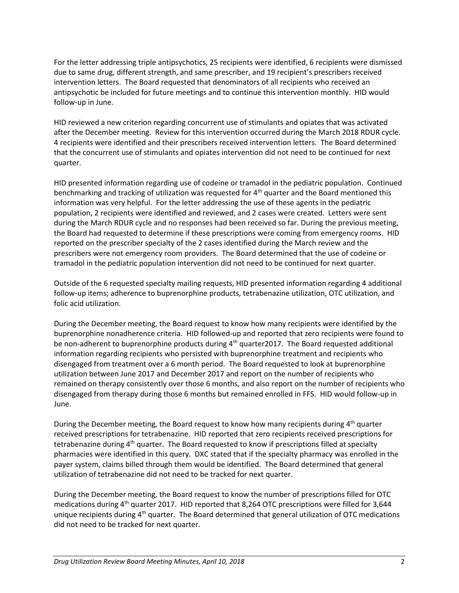For the letter addressing triple antipsychotics, 25 recipients were identified, 6 recipients were dismissed due to same drug, different strength, and same prescriber, and 19 recipient's prescribers received intervention letters. The Board requested that denominators of all recipients who received an antipsychotic be included for future meetings and to continue this intervention monthly. HID would follow-up in June.

HID reviewed a new criterion regarding concurrent use of stimulants and opiates that was activated after the December meeting. Review for this intervention occurred during the March 2018 RDUR cycle. 4 recipients were identified and their prescribers received intervention letters. The Board determined that the concurrent use of stimulants and opiates intervention did not need to be continued for next quarter.

HID presented information regarding use of codeine or tramadol in the pediatric population. Continued benchmarking and tracking of utilization was requested for  $4<sup>th</sup>$  quarter and the Board mentioned this information was very helpful. For the letter addressing the use of these agents in the pediatric population, 2 recipients were identified and reviewed, and 2 cases were created. Letters were sent during the March RDUR cycle and no responses had been received so far. During the previous meeting, the Board had requested to determine if these prescriptions were coming from emergency rooms. HID reported on the prescriber specialty of the 2 cases identified during the March review and the prescribers were not emergency room providers. The Board determined that the use of codeine or tramadol in the pediatric population intervention did not need to be continued for next quarter.

Outside of the 6 requested specialty mailing requests, HID presented information regarding 4 additional follow-up items; adherence to buprenorphine products, tetrabenazine utilization, OTC utilization, and folic acid utilization.

During the December meeting, the Board request to know how many recipients were identified by the buprenorphine nonadherence criteria. HID followed-up and reported that zero recipients were found to be non-adherent to buprenorphine products during  $4<sup>th</sup>$  quarter2017. The Board requested additional information regarding recipients who persisted with buprenorphine treatment and recipients who disengaged from treatment over a 6 month period. The Board requested to look at buprenorphine utilization between June 2017 and December 2017 and report on the number of recipients who remained on therapy consistently over those 6 months, and also report on the number of recipients who disengaged from therapy during those 6 months but remained enrolled in FFS. HID would follow-up in June.

During the December meeting, the Board request to know how many recipients during  $4<sup>th</sup>$  quarter received prescriptions for tetrabenazine. HID reported that zero recipients received prescriptions for tetrabenazine during 4<sup>th</sup> quarter. The Board requested to know if prescriptions filled at specialty pharmacies were identified in this query. DXC stated that if the specialty pharmacy was enrolled in the payer system, claims billed through them would be identified. The Board determined that general utilization of tetrabenazine did not need to be tracked for next quarter.

During the December meeting, the Board request to know the number of prescriptions filled for OTC medications during 4<sup>th</sup> quarter 2017. HID reported that 8,264 OTC prescriptions were filled for 3,644 unique recipients during 4<sup>th</sup> quarter. The Board determined that general utilization of OTC medications did not need to be tracked for next quarter.